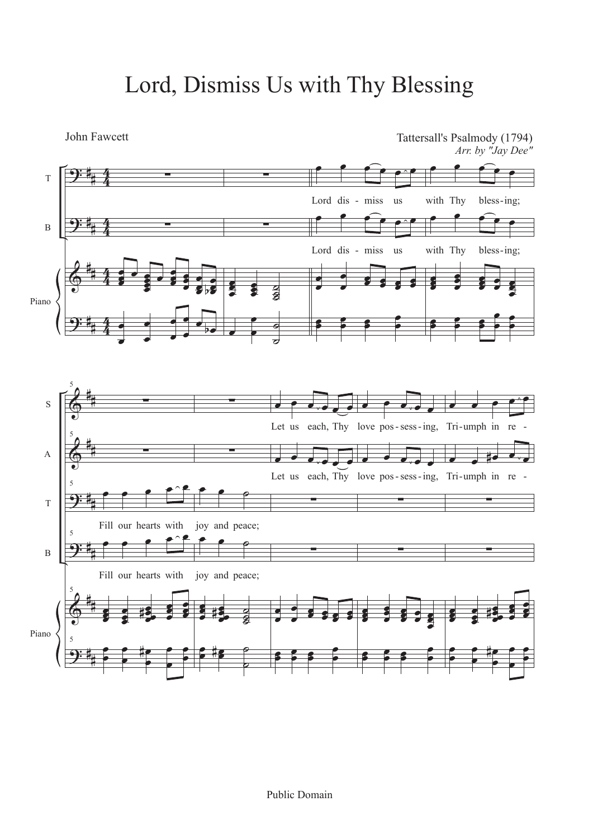## Lord, Dismiss Us with Thy Blessing